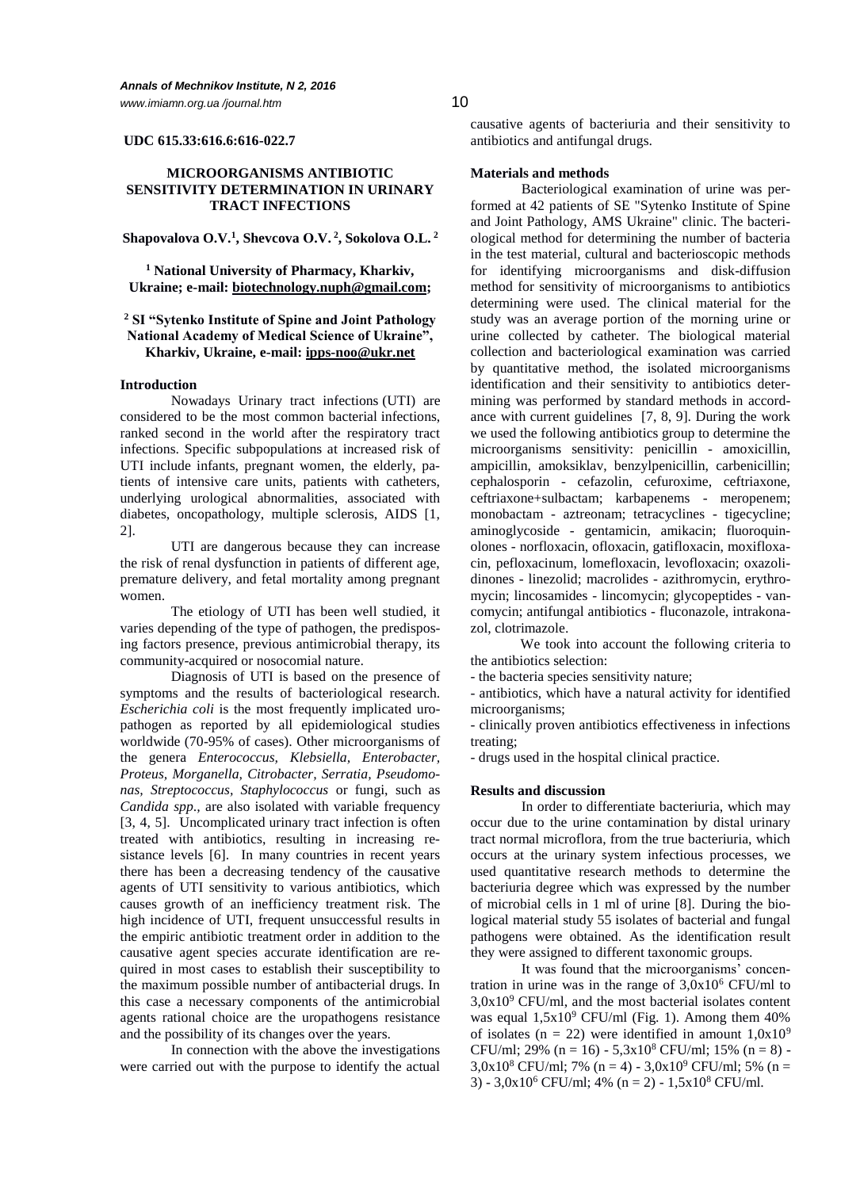#### **UDC 615.33:616.6:616-022.7**

# **MICROORGANISMS ANTIBIOTIC SENSITIVITY DETERMINATION IN URINARY TRACT INFECTIONS**

# **Shapovalova O.V.<sup>1</sup> , Shevcova О.V. <sup>2</sup> , Sokolova O.L. <sup>2</sup>**

**<sup>1</sup> National University of Pharmacy, Kharkiv, Ukraine; e-mail: [biotechnology.nuph@gmail.com;](mailto:biotechnology.nuph@gmail.com)**

# **<sup>2</sup> SI "Sytenko Institute of Spine and Joint Pathology National Academy of Medical Science of Ukraine", Kharkiv, Ukraine, e-mail: [ipps-noo@ukr.net](mailto:ipps-noo@ukr.net)**

## **Introduction**

Nowadays Urinary tract infections (UTI) are considered to be the most common bacterial infections, ranked second in the world after the respiratory tract infections. Specific subpopulations at increased risk of UTI include infants, pregnant women, the elderly, patients of intensive care units, patients with catheters, underlying urological abnormalities, associated with diabetes, oncopathology, multiple sclerosis, AIDS [1, 2].

UTI are dangerous because they can increase the risk of renal dysfunction in patients of different age, premature delivery, and fetal mortality among pregnant women.

The etiology of UTI has been well studied, it varies depending of the type of pathogen, the predisposing factors presence, previous antimicrobial therapy, its community-acquired or nosocomial nature.

Diagnosis of UTI is based on the presence of symptoms and the results of bacteriological research. *Escherichia coli* is the most frequently implicated uropathogen as reported by all epidemiological studies worldwide (70-95% of cases). Other microorganisms of the genera *Enterococcus, Klebsiella, Enterobacter, Proteus, Morganella, Citrobacter, Serratia, Pseudomonas, Streptococcus, Staphylococcus* or fungi, such as *Candida spp*.*,* are also isolated with variable frequency [3, 4, 5]. Uncomplicated urinary tract infection is often treated with antibiotics, resulting in increasing resistance levels [6]. In many countries in recent years there has been a decreasing tendency of the causative agents of UTI sensitivity to various antibiotics, which causes growth of an inefficiency treatment risk. The high incidence of UTI, frequent unsuccessful results in the empiric antibiotic treatment order in addition to the causative agent species accurate identification are required in most cases to establish their susceptibility to the maximum possible number of antibacterial drugs. In this case a necessary components of the antimicrobial agents rational choice are the uropathogens resistance and the possibility of its changes over the years.

In connection with the above the investigations were carried out with the purpose to identify the actual causative agents of bacteriuria and their sensitivity to antibiotics and antifungal drugs.

## **Materials and methods**

Bacteriological examination of urine was performed at 42 patients of SE "Sytenko Institute of Spine and Joint Pathology, AMS Ukraine" clinic. The bacteriological method for determining the number of bacteria in the test material, cultural and bacterioscopic methods for identifying microorganisms and disk-diffusion method for sensitivity of microorganisms to antibiotics determining were used. The clinical material for the study was an average portion of the morning urine or urine collected by catheter. The biological material collection and bacteriological examination was carried by quantitative method, the isolated microorganisms identification and their sensitivity to antibiotics determining was performed by standard methods in accordance with current guidelines [7, 8, 9]. During the work we used the following antibiotics group to determine the microorganisms sensitivity: penicillin - amoxicillin, ampicillin, amoksiklav, benzylpenicillin, carbenicillin; cephalosporin - cefazolin, cefuroxime, ceftriaxone, ceftriaxone+sulbactam; karbapenems - meropenem; monobactam - aztreonam; tetracyclines - tigecycline; aminoglycoside - gentamicin, amikacin; fluoroquinolones - norfloxacin, ofloxacin, gatifloxacin, moxifloxacin, pefloxacinum, lomefloxacin, levofloxacin; oxazolidinones - linezolid; macrolides - azithromycin, erythromycin; lincosamides - lincomycin; glycopeptides - vancomycin; antifungal antibiotics - fluconazole, intrakonazol, clotrimazole.

We took into account the following criteria to the antibiotics selection:

- the bacteria species sensitivity nature;

- antibiotics, which have a natural activity for identified microorganisms;

- clinically proven antibiotics effectiveness in infections treating;

- drugs used in the hospital clinical practice.

## **Results and discussion**

In order to differentiate bacteriuria, which may occur due to the urine contamination by distal urinary tract normal microflora, from the true bacteriuria, which occurs at the urinary system infectious processes, we used quantitative research methods to determine the bacteriuria degree which was expressed by the number of microbial cells in 1 ml of urine [8]. During the biological material study 55 isolates of bacterial and fungal pathogens were obtained. As the identification result they were assigned to different taxonomic groups.

It was found that the microorganisms' concentration in urine was in the range of  $3.0x10^6$  CFU/ml to  $3.0x10<sup>9</sup>$  CFU/ml, and the most bacterial isolates content was equal  $1,5x10^9$  CFU/ml (Fig. 1). Among them 40% of isolates (n = 22) were identified in amount  $1,0x10^9$ CFU/ml; 29% (n = 16) -  $5.3x10^8$  CFU/ml; 15% (n = 8) - $3.0x10^8$  CFU/ml; 7% (n = 4) -  $3.0x10^9$  CFU/ml; 5% (n = 3) - 3,0x10<sup>6</sup> CFU/ml; 4% (n = 2) - 1,5x10<sup>8</sup> CFU/ml.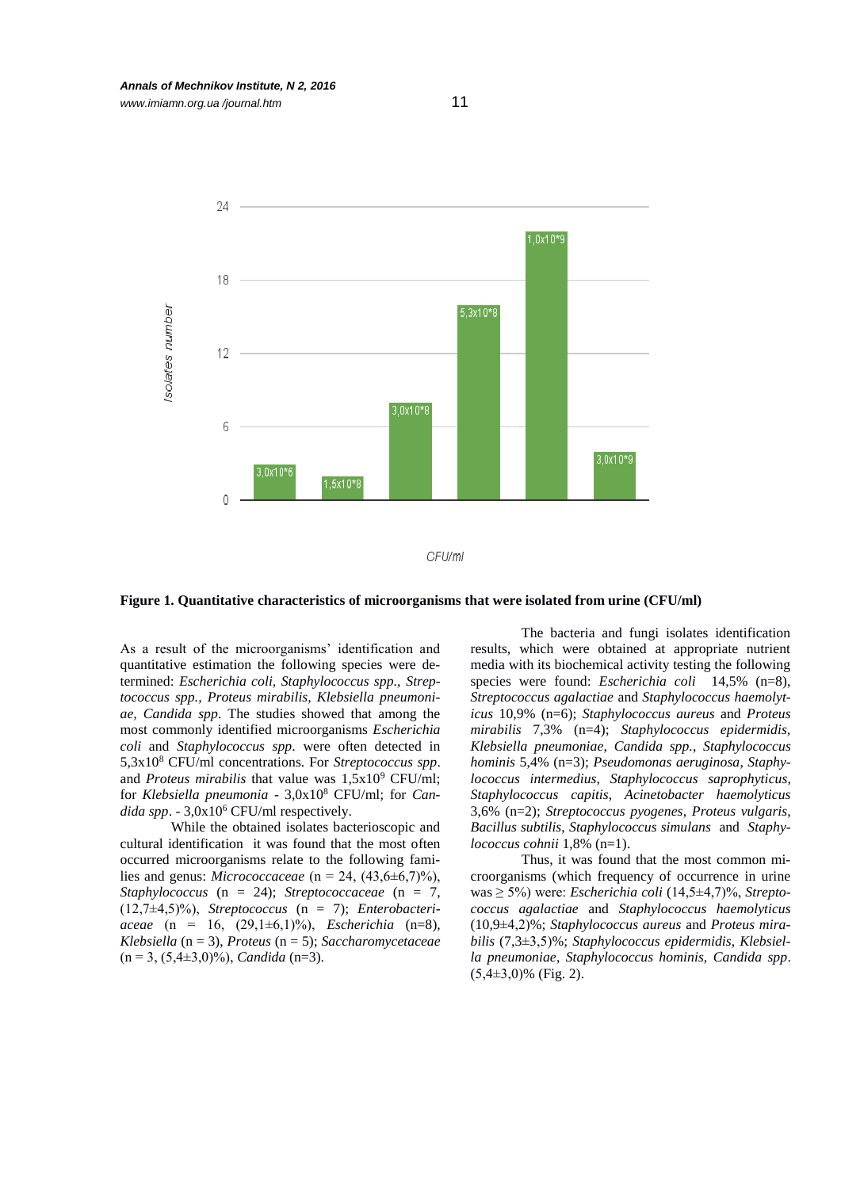



#### **Figure 1. Quantitative characteristics of microorganisms that were isolated from urine (CFU/ml)**

As a result of the microorganisms' identification and quantitative estimation the following species were determined: *Escherichia coli, Staphylococcus spp., Streptococcus spp., Proteus mirabilis, Klebsiella pneumoniae, Candida spp*. The studies showed that among the most commonly identified microorganisms *Escherichia coli* and *Staphylococcus spp*. were often detected in 5,3x10<sup>8</sup> CFU/ml concentrations. For *Streptococcus spp*. and *Proteus mirabilis* that value was  $1,5x10^9$  CFU/ml; for *Klebsiella pneumonia* - 3,0x10<sup>8</sup> CFU/ml; for *Candida spp*. - 3,0x10<sup>6</sup> CFU/ml respectively.

While the obtained isolates bacterioscopic and cultural identification it was found that the most often occurred microorganisms relate to the following families and genus: *Micrococcaceae* (n = 24, (43,6±6,7)%), *Staphylococcus* (n = 24); *Streptococcaceae* (n = 7, (12,7±4,5)%), *Streptococcus* (n = 7); *Enterobacteriaceae* (n = 16, (29,1±6,1)%), *Escherichia* (n=8), *Klebsiella* (n = 3), *Proteus* (n = 5); *Saccharomycetaceae* (n = 3, (5,4±3,0)%), *Candida* (n=3).

The bacteria and fungi isolates identification results, which were obtained at appropriate nutrient media with its biochemical activity testing the following species were found: *Escherichia coli* 14,5% (n=8), *Streptococcus agalactiae* and *Staphylococcus haemolyticus* 10,9% (n=6); *Staphylococcus aureus* and *Proteus mirabilis* 7,3% (n=4); *Staphylococcus epidermidis, Klebsiella pneumoniae*, *Candida spp.*, *Staphylococcus hominis* 5,4% (n=3); *Pseudomonas aeruginosa*, *Staphylococcus intermedius*, *Staphylococcus saprophyticus*, *Staphylococcus capitis*, *Acinetobacter haemolyticus* 3,6% (n=2); *Streptococcus pyogenes*, *Proteus vulgaris*, *Bacillus subtilis*, *Staphylococcus simulans* and *Staphylococcus cohnii* 1,8% (n=1).

Thus, it was found that the most common microorganisms (which frequency of occurrence in urine was ≥ 5%) were: *Escherichia coli* (14,5±4,7)%, *Streptococcus agalactiae* and *Staphylococcus haemolyticus* (10,9±4,2)%; *Staphylococcus aureus* and *Proteus mirabilis* (7,3±3,5)%; *Staphylococcus epidermidis*, *Klebsiella pneumoniae*, *Staphylococcus hominis, Candida spp*. (5,4±3,0)% (Fig. 2).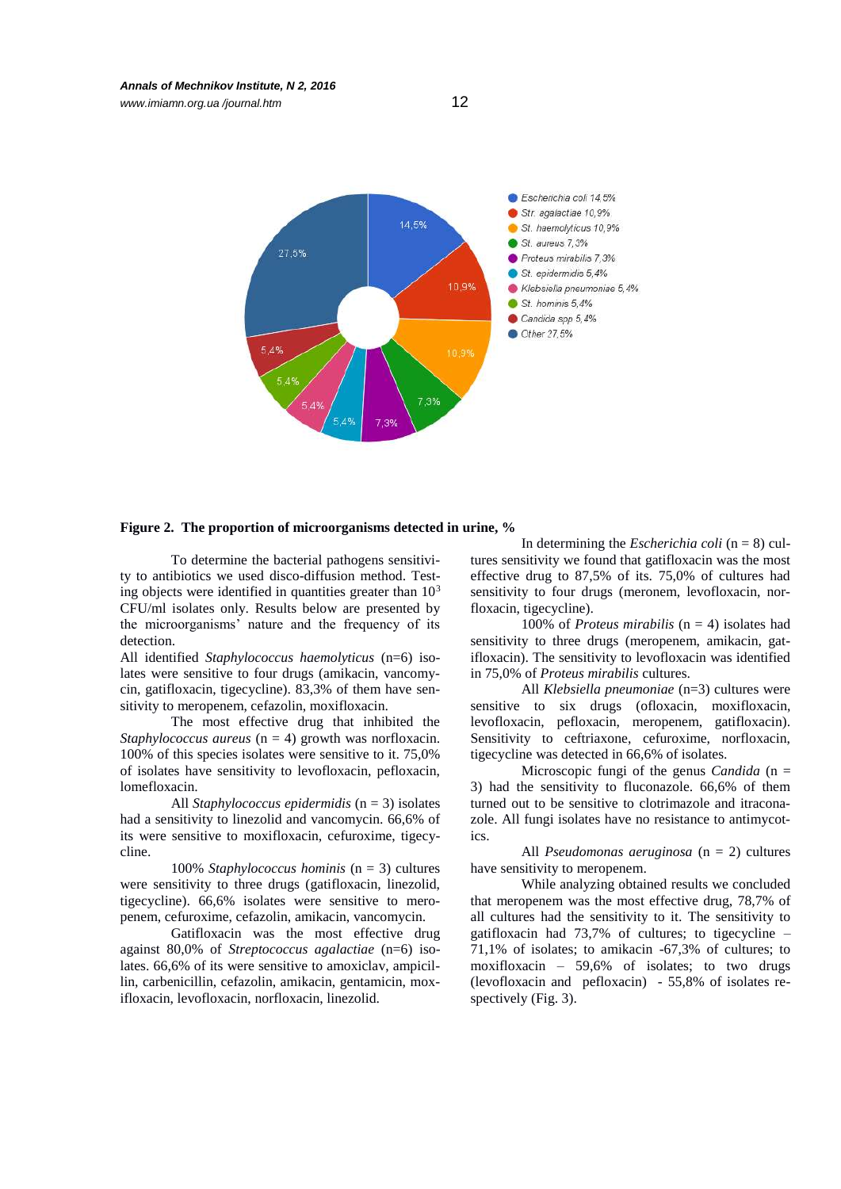

## **Figure 2. The proportion of microorganisms detected in urine, %**

To determine the bacterial pathogens sensitivity to antibiotics we used disco-diffusion method. Testing objects were identified in quantities greater than  $10<sup>3</sup>$ CFU/ml isolates only. Results below are presented by the microorganisms' nature and the frequency of its detection.

All identified *Staphylococcus haemolyticus* (n=6) isolates were sensitive to four drugs (amikacin, vancomycin, gatifloxacin, tigecycline). 83,3% of them have sensitivity to meropenem, cefazolin, moxifloxacin.

The most effective drug that inhibited the *Staphylococcus aureus* (n = 4) growth was norfloxacin. 100% of this species isolates were sensitive to it. 75,0% of isolates have sensitivity to levofloxacin, pefloxacin, lomefloxacin.

All *Staphylococcus epidermidis* (n = 3) isolates had a sensitivity to linezolid and vancomycin. 66,6% of its were sensitive to moxifloxacin, cefuroxime, tigecycline.

100% *Staphylococcus hominis* (n = 3) cultures were sensitivity to three drugs (gatifloxacin, linezolid, tigecycline). 66,6% isolates were sensitive to meropenem, cefuroxime, cefazolin, amikacin, vancomycin.

Gatifloxacin was the most effective drug against 80,0% of *Streptococcus agalactiae* (n=6) isolates. 66,6% of its were sensitive to amoxiclav, ampicillin, carbenicillin, cefazolin, amikacin, gentamicin, moxifloxacin, levofloxacin, norfloxacin, linezolid.

In determining the *Escherichia coli* (n = 8) cultures sensitivity we found that gatifloxacin was the most effective drug to 87,5% of its. 75,0% of cultures had sensitivity to four drugs (meronem, levofloxacin, norfloxacin, tigecycline).

100% of *Proteus mirabilis* (n = 4) isolates had sensitivity to three drugs (meropenem, amikacin, gatifloxacin). The sensitivity to levofloxacin was identified in 75,0% of *Proteus mirabilis* cultures.

All *Klebsiella pneumoniae* (n=3) cultures were sensitive to six drugs (ofloxacin, moxifloxacin, levofloxacin, pefloxacin, meropenem, gatifloxacin). Sensitivity to ceftriaxone, cefuroxime, norfloxacin, tigecycline was detected in 66,6% of isolates.

Microscopic fungi of the genus *Candida* (n = 3) had the sensitivity to fluconazole. 66,6% of them turned out to be sensitive to clotrimazole and itraconazole. All fungi isolates have no resistance to antimycotics.

All *Pseudomonas aeruginosa* (n = 2) cultures have sensitivity to meropenem.

While analyzing obtained results we concluded that meropenem was the most effective drug, 78,7% of all cultures had the sensitivity to it. The sensitivity to gatifloxacin had 73,7% of cultures; to tigecycline – 71,1% of isolates; to amikacin -67,3% of cultures; to moxifloxacin – 59,6% of isolates; to two drugs (levofloxacin and pefloxacin) - 55,8% of isolates respectively (Fig. 3).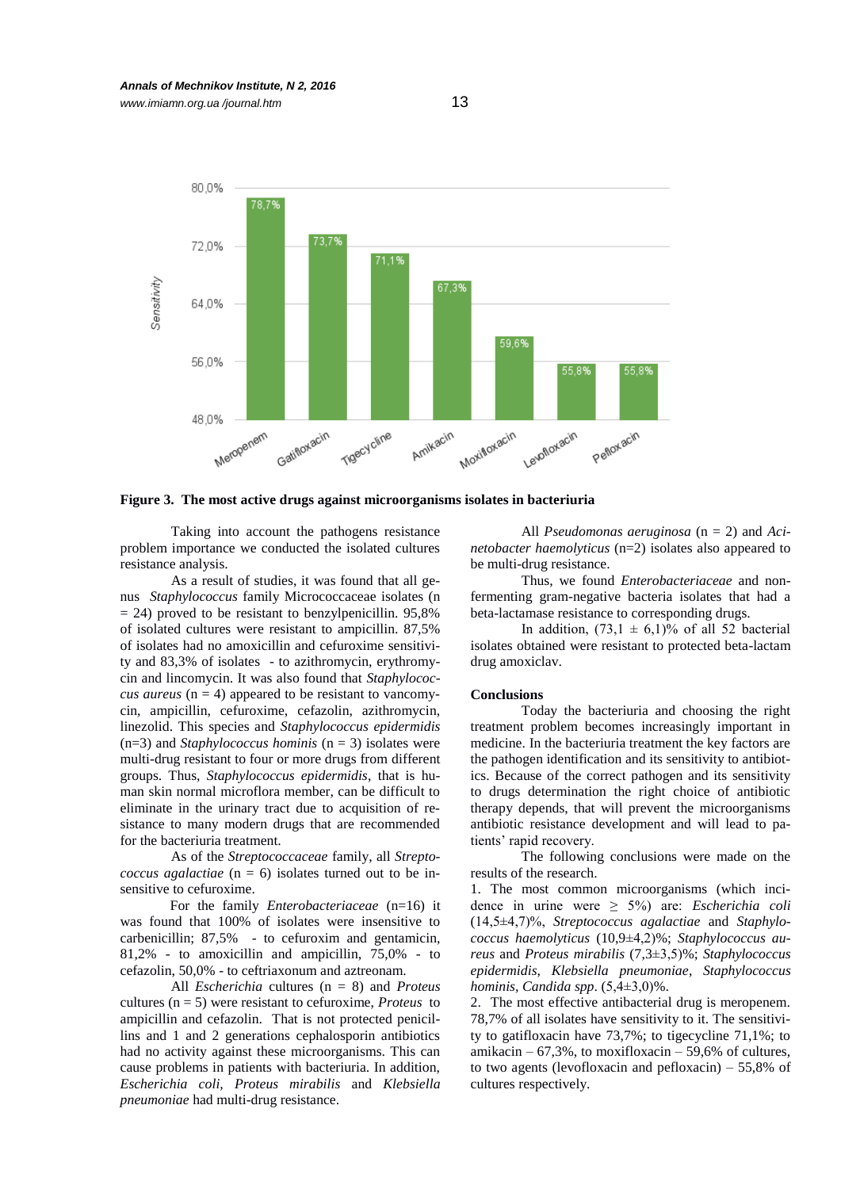*www.imiamn.org.ua /journal.htm* 13



**Figure 3. The most active drugs against microorganisms isolates in bacteriuria**

Taking into account the pathogens resistance problem importance we conducted the isolated cultures resistance analysis.

As a result of studies, it was found that all genus *Staphylococcus* family Micrococcaceae isolates (n  $= 24$ ) proved to be resistant to benzylpenicillin. 95,8% of isolated cultures were resistant to ampicillin. 87,5% of isolates had no amoxicillin and cefuroxime sensitivity and 83,3% of isolates - to azithromycin, erythromycin and lincomycin. It was also found that *Staphylococcus aureus* ( $n = 4$ ) appeared to be resistant to vancomycin, ampicillin, cefuroxime, cefazolin, azithromycin, linezolid. This species and *Staphylococcus epidermidis* (n=3) and *Staphylococcus hominis* (n = 3) isolates were multi-drug resistant to four or more drugs from different groups. Thus, *Staphylococcus epidermidis*, that is human skin normal microflora member, can be difficult to eliminate in the urinary tract due to acquisition of resistance to many modern drugs that are recommended for the bacteriuria treatment.

As of the *Streptococcaceae* family, all *Streptococcus agalactiae* (n = 6) isolates turned out to be insensitive to cefuroxime.

For the family *Enterobacteriaceae* (n=16) it was found that 100% of isolates were insensitive to carbenicillin; 87,5% - to cefuroxim and gentamicin, 81,2% - to amoxicillin and ampicillin, 75,0% - to cefazolin, 50,0% - to ceftriaxonum and aztreonam.

All *Escherichia* cultures (n = 8) and *Proteus*  cultures (n = 5) were resistant to cefuroxime, *Proteus* to ampicillin and cefazolin. That is not protected penicillins and 1 and 2 generations cephalosporin antibiotics had no activity against these microorganisms. This can cause problems in patients with bacteriuria. In addition, *Escherichia coli, Proteus mirabilis* and *Klebsiella pneumoniae* had multi-drug resistance.

All *Pseudomonas aeruginosa* (n = 2) and *Acinetobacter haemolyticus* (n=2) isolates also appeared to be multi-drug resistance.

Thus, we found *Enterobacteriaceae* and nonfermenting gram-negative bacteria isolates that had a beta-lactamase resistance to corresponding drugs.

In addition,  $(73,1 \pm 6,1)\%$  of all 52 bacterial isolates obtained were resistant to protected beta-lactam drug amoxiclav.

#### **Conclusions**

Today the bacteriuria and choosing the right treatment problem becomes increasingly important in medicine. In the bacteriuria treatment the key factors are the pathogen identification and its sensitivity to antibiotics. Because of the correct pathogen and its sensitivity to drugs determination the right choice of antibiotic therapy depends, that will prevent the microorganisms antibiotic resistance development and will lead to patients' rapid recovery.

The following conclusions were made on the results of the research.

1. The most common microorganisms (which incidence in urine were ≥ 5%) are: *Escherichia coli* (14,5±4,7)%, *Streptococcus agalactiae* and *Staphylococcus haemolyticus* (10,9±4,2)%; *Staphylococcus aureus* and *Proteus mirabilis* (7,3±3,5)%; *Staphylococcus epidermidis*, *Klebsiella pneumoniae*, *Staphylococcus hominis, Candida spp*. (5,4±3,0)%.

2. The most effective antibacterial drug is meropenem. 78,7% of all isolates have sensitivity to it. The sensitivity to gatifloxacin have 73,7%; to tigecycline 71,1%; to amikacin – 67,3%, to moxifloxacin – 59,6% of cultures, to two agents (levofloxacin and pefloxacin)  $-55,8\%$  of cultures respectively.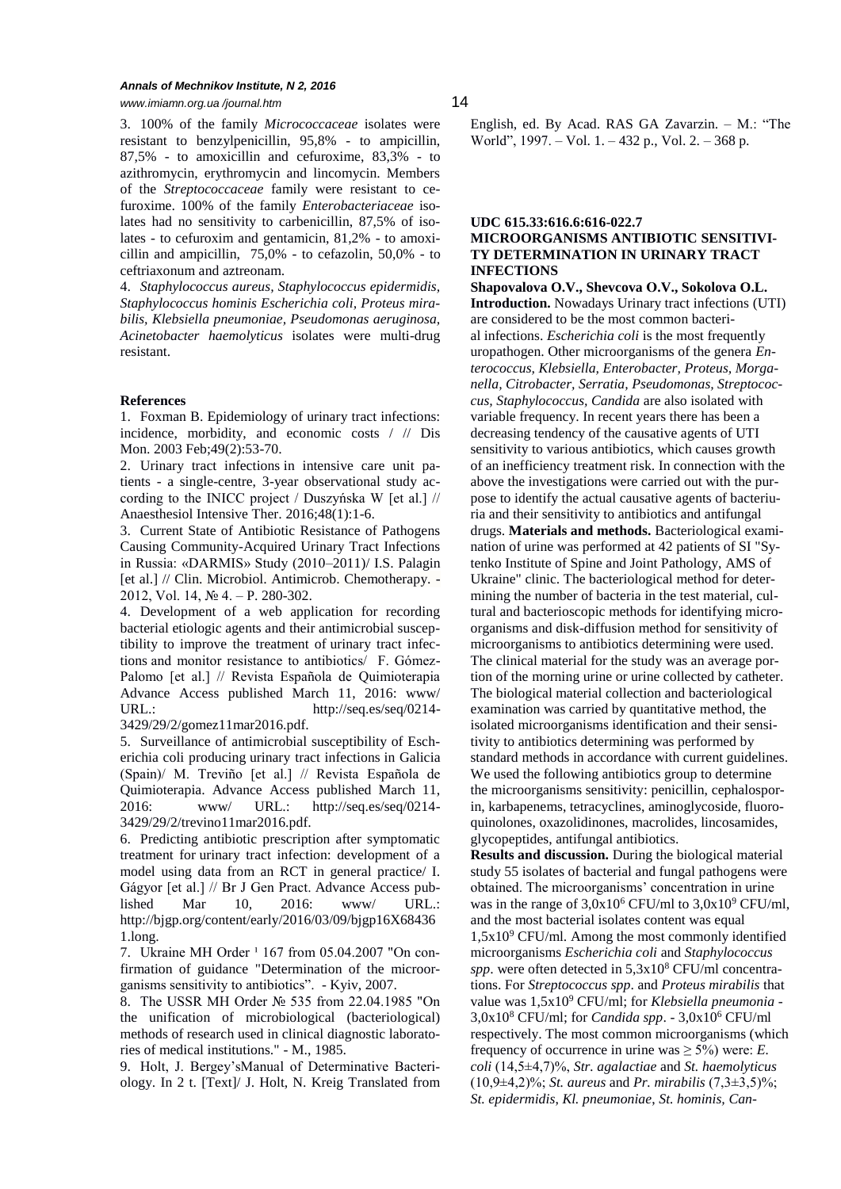### *Annals of Mechnikov Institute, N 2, 2016 www.imiamn.org.ua /journal.htm* 14

3. 100% of the family *Micrococcaceae* isolates were resistant to benzylpenicillin, 95,8% - to ampicillin, 87,5% - to amoxicillin and cefuroxime, 83,3% - to azithromycin, erythromycin and lincomycin. Members of the *Streptococcaceae* family were resistant to cefuroxime. 100% of the family *Enterobacteriaceae* isolates had no sensitivity to carbenicillin, 87,5% of isolates - to cefuroxim and gentamicin, 81,2% - to amoxicillin and ampicillin, 75,0% - to cefazolin, 50,0% - to ceftriaxonum and aztreonam.

4. *Staphylococcus aureus, Staphylococcus epidermidis, Staphylococcus hominis Escherichia coli, Proteus mirabilis, Klebsiella pneumoniae, Pseudomonas aeruginosa, Acinetobacter haemolyticus* isolates were multi-drug resistant.

# **References**

1. Foxman B. Epidemiology of urinary tract infections: incidence, morbidity, and economic costs / // Dis Mon. 2003 Feb;49(2):53-70.

2. Urinary tract infections in intensive care unit patients - a single-centre, 3-year observational study according to the INICC project / Duszyńska W [et al.] // Anaesthesiol Intensive Ther. 2016;48(1):1-6.

3. Current State of Antibiotic Resistance of Pathogens Causing Community-Acquired Urinary Tract Infections in Russia: «DARMIS» Study (2010–2011)/ I.S. Palagin [et al.] // Clin. Microbiol. Antimicrob. Chemotherapy. -2012, Vol. 14, № 4. – P. 280-302.

4. Development of a web application for recording bacterial etiologic agents and their antimicrobial susceptibility to improve the treatment of urinary tract infections and monitor resistance to antibiotics/ F. Gómez-Palomo [et al.] // Revista Española de Quimioterapia Advance Access published March 11, 2016: www/ URL.: http://seq.es/seq/0214-3429/29/2/gomez11mar2016.pdf.

5. Surveillance of antimicrobial susceptibility of Escherichia coli producing urinary tract infections in Galicia (Spain)/ M. Treviño [et al.] // Revista Española de Quimioterapia. Advance Access published March 11, 2016: www/ URL.: http://seq.es/seq/0214- 3429/29/2/trevino11mar2016.pdf.

6. Predicting antibiotic prescription after symptomatic treatment for urinary tract infection: development of a model using data from an RCT in general practice/ I. Gágyor [et al.] // Br J Gen Pract. Advance Access published Mar 10, 2016: www/ URL.: http://bjgp.org/content/early/2016/03/09/bjgp16X68436 1.long.

7. Ukraine MH Order <sup>1</sup> 167 from 05.04.2007 "On confirmation of guidance "Determination of the microorganisms sensitivity to antibiotics". - Kyiv, 2007.

8. The USSR MH Order № 535 from 22.04.1985 "On the unification of microbiological (bacteriological) methods of research used in clinical diagnostic laboratories of medical institutions." - M., 1985.

9. Holt, J. Bergey'sManual of Determinative Bacteriology. In 2 t. [Text]/ J. Holt, N. Kreig Translated from

English, ed. By Acad. RAS GA Zavarzin. – M.: "The World", 1997. – Vol. 1. – 432 p., Vol. 2. – 368 p.

# **UDC 615.33:616.6:616-022.7 MICROORGANISMS ANTIBIOTIC SENSITIVI-TY DETERMINATION IN URINARY TRACT INFECTIONS**

**Shapovalova O.V., Shevcova О.V., Sokolova O.L. Introduction.** Nowadays Urinary tract infections (UTI) are considered to be the most common bacterial infections. *Escherichia coli* is the most frequently uropathogen. Other microorganisms of the genera *Enterococcus, Klebsiella, Enterobacter, Proteus, Morganella, Citrobacter, Serratia, Pseudomonas, Streptococcus, Staphylococcus, Candida* are also isolated with variable frequency. In recent years there has been a decreasing tendency of the causative agents of UTI sensitivity to various antibiotics, which causes growth of an inefficiency treatment risk. In connection with the above the investigations were carried out with the purpose to identify the actual causative agents of bacteriuria and their sensitivity to antibiotics and antifungal drugs. **Materials and methods.** Bacteriological examination of urine was performed at 42 patients of SI "Sytenko Institute of Spine and Joint Pathology, AMS of Ukraine" clinic. The bacteriological method for determining the number of bacteria in the test material, cultural and bacterioscopic methods for identifying microorganisms and disk-diffusion method for sensitivity of microorganisms to antibiotics determining were used. The clinical material for the study was an average portion of the morning urine or urine collected by catheter. The biological material collection and bacteriological examination was carried by quantitative method, the isolated microorganisms identification and their sensitivity to antibiotics determining was performed by standard methods in accordance with current guidelines. We used the following antibiotics group to determine the microorganisms sensitivity: penicillin, cephalosporin, karbapenems, tetracyclines, aminoglycoside, fluoroquinolones, oxazolidinones, macrolides, lincosamides, glycopeptides, antifungal antibiotics. **Results and discussion.** During the biological material

study 55 isolates of bacterial and fungal pathogens were obtained. The microorganisms' concentration in urine was in the range of  $3,0x10^6$  CFU/ml to  $3,0x10^9$  CFU/ml, and the most bacterial isolates content was equal  $1,5x10^9$  CFU/ml. Among the most commonly identified microorganisms *Escherichia coli* and *Staphylococcus spp*. were often detected in 5,3x10<sup>8</sup> CFU/ml concentrations. For *Streptococcus spp*. and *Proteus mirabilis* that value was  $1,5x10^9$  CFU/ml; for *Klebsiella pneumonia* -3,0x10<sup>8</sup> CFU/ml; for *Candida spp*. - 3,0x10<sup>6</sup> CFU/ml respectively. The most common microorganisms (which frequency of occurrence in urine was  $\geq$  5%) were: *E*. *coli* (14,5±4,7)%, *Str. agalactiae* and *St. haemolyticus* (10,9±4,2)%; *St. aureus* and *Pr. mirabilis* (7,3±3,5)%; *St. epidermidis*, *Kl. pneumoniae*, *St. hominis, Can-*